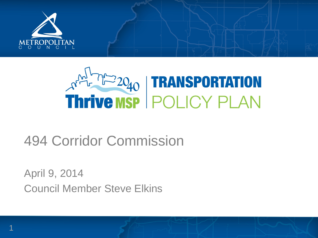

# **Thrive MSP POLICY PLAN**

## 494 Corridor Commission

April 9, 2014 Council Member Steve Elkins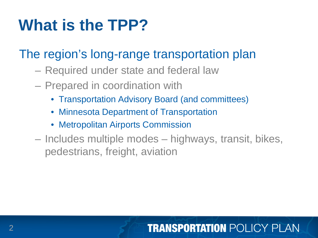# **What is the TPP?**

## The region's long-range transportation plan

- Required under state and federal law
- Prepared in coordination with
	- Transportation Advisory Board (and committees)
	- Minnesota Department of Transportation
	- Metropolitan Airports Commission
- Includes multiple modes highways, transit, bikes, pedestrians, freight, aviation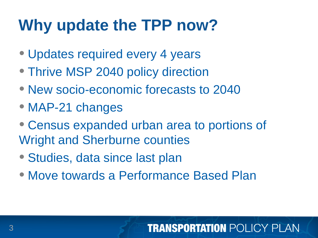# **Why update the TPP now?**

- Updates required every 4 years
- Thrive MSP 2040 policy direction
- New socio-economic forecasts to 2040
- MAP-21 changes
- Census expanded urban area to portions of Wright and Sherburne counties
- Studies, data since last plan
- Move towards a Performance Based Plan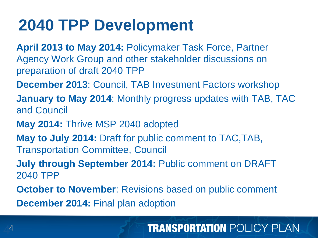## **2040 TPP Development**

- **April 2013 to May 2014:** Policymaker Task Force, Partner Agency Work Group and other stakeholder discussions on preparation of draft 2040 TPP
- **December 2013**: Council, TAB Investment Factors workshop
- **January to May 2014**: Monthly progress updates with TAB, TAC and Council
- **May 2014:** Thrive MSP 2040 adopted
- **May to July 2014:** Draft for public comment to TAC,TAB, Transportation Committee, Council
- **July through September 2014:** Public comment on DRAFT 2040 TPP
- **October to November: Revisions based on public comment December 2014:** Final plan adoption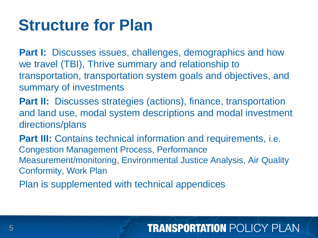## **Structure for Plan**

**Part I:** Discusses issues, challenges, demographics and how we travel (TBI), Thrive summary and relationship to transportation, transportation system goals and objectives, and summary of investments

**Part II:** Discusses strategies (actions), finance, transportation and land use, modal system descriptions and modal investment directions/plans

**Part III:** Contains technical information and requirements, *i.e.* Congestion Management Process, Performance Measurement/monitoring, Environmental Justice Analysis, Air Quality Conformity, Work Plan

Plan is supplemented with technical appendices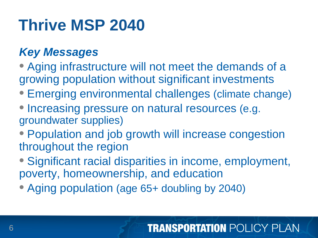# **Thrive MSP 2040**

## *Key Messages*

- Aging infrastructure will not meet the demands of a growing population without significant investments
- Emerging environmental challenges (climate change)
- Increasing pressure on natural resources (e.g. groundwater supplies)
- Population and job growth will increase congestion throughout the region
- Significant racial disparities in income, employment, poverty, homeownership, and education
- Aging population (age 65+ doubling by 2040)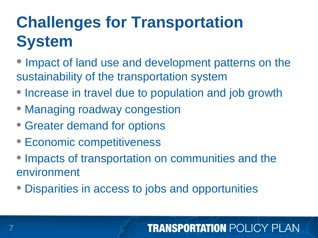# **Challenges for Transportation System**

- Impact of land use and development patterns on the sustainability of the transportation system
- Increase in travel due to population and job growth
- Managing roadway congestion
- Greater demand for options
- Economic competitiveness
- Impacts of transportation on communities and the environment
- Disparities in access to jobs and opportunities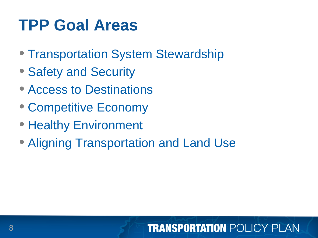## **TPP Goal Areas**

- Transportation System Stewardship
- Safety and Security
- Access to Destinations
- Competitive Economy
- Healthy Environment
- Aligning Transportation and Land Use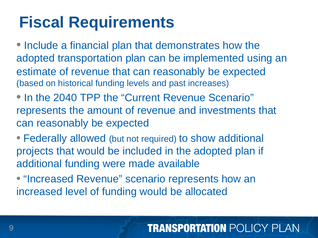# **Fiscal Requirements**

• Include a financial plan that demonstrates how the adopted transportation plan can be implemented using an estimate of revenue that can reasonably be expected (based on historical funding levels and past increases)

- In the 2040 TPP the "Current Revenue Scenario" represents the amount of revenue and investments that can reasonably be expected
- Federally allowed (but not required) to show additional projects that would be included in the adopted plan if additional funding were made available
- "Increased Revenue" scenario represents how an increased level of funding would be allocated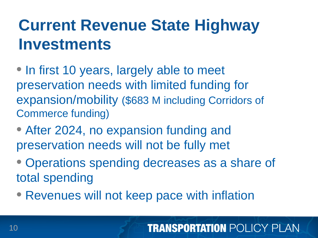# **Current Revenue State Highway Investments**

• In first 10 years, largely able to meet preservation needs with limited funding for expansion/mobility (\$683 M including Corridors of Commerce funding)

- After 2024, no expansion funding and preservation needs will not be fully met
- Operations spending decreases as a share of total spending
- Revenues will not keep pace with inflation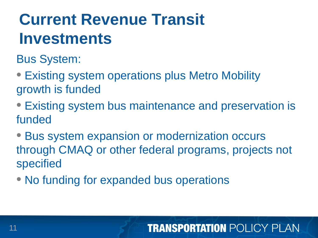# **Current Revenue Transit Investments**

Bus System:

- Existing system operations plus Metro Mobility growth is funded
- Existing system bus maintenance and preservation is funded
- Bus system expansion or modernization occurs through CMAQ or other federal programs, projects not specified
- No funding for expanded bus operations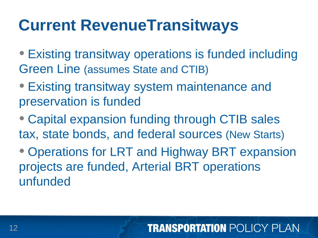# **Current RevenueTransitways**

- Existing transitway operations is funded including Green Line (assumes State and CTIB)
- Existing transitway system maintenance and preservation is funded
- Capital expansion funding through CTIB sales tax, state bonds, and federal sources (New Starts)
- Operations for LRT and Highway BRT expansion projects are funded, Arterial BRT operations unfunded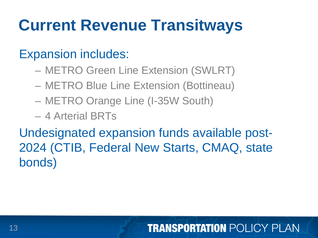# **Current Revenue Transitways**

## Expansion includes:

- METRO Green Line Extension (SWLRT)
- METRO Blue Line Extension (Bottineau)
- METRO Orange Line (I-35W South)
- 4 Arterial BRTs

Undesignated expansion funds available post-2024 (CTIB, Federal New Starts, CMAQ, state bonds)